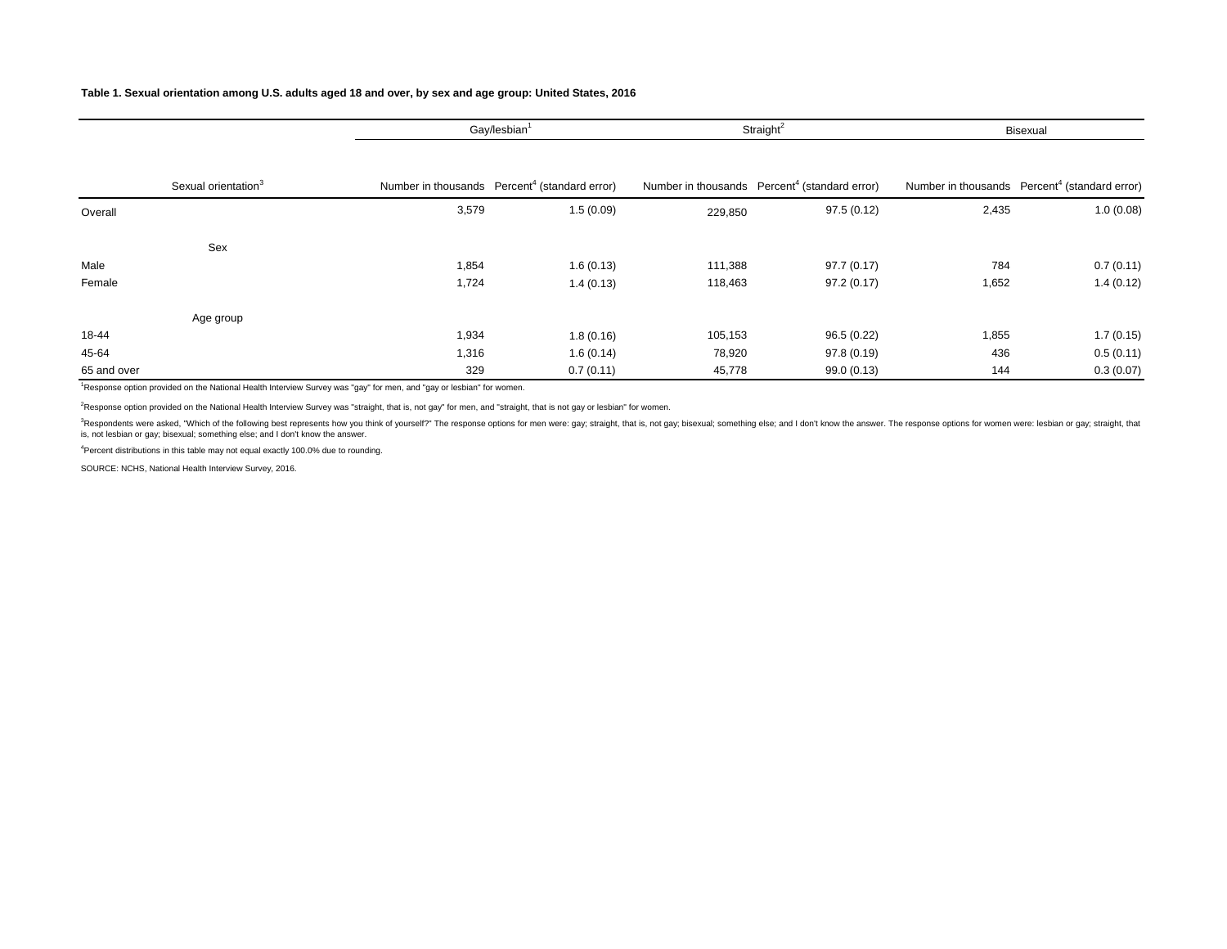# **Table 1. Sexual orientation among U.S. adults aged 18 and over, by sex and age group: United States, 2016**

|             |                                 |       | Straight <sup>2</sup><br>Gay/lesbian <sup>1</sup>         |         |                                                           | Bisexual |                                                           |  |  |
|-------------|---------------------------------|-------|-----------------------------------------------------------|---------|-----------------------------------------------------------|----------|-----------------------------------------------------------|--|--|
|             | Sexual orientation <sup>3</sup> |       | Number in thousands Percent <sup>4</sup> (standard error) |         | Number in thousands Percent <sup>4</sup> (standard error) |          | Number in thousands Percent <sup>4</sup> (standard error) |  |  |
|             |                                 |       |                                                           |         |                                                           |          |                                                           |  |  |
| Overall     |                                 | 3,579 | 1.5(0.09)                                                 | 229,850 | 97.5(0.12)                                                | 2,435    | 1.0(0.08)                                                 |  |  |
|             | Sex                             |       |                                                           |         |                                                           |          |                                                           |  |  |
| Male        |                                 | 1,854 | 1.6(0.13)                                                 | 111,388 | 97.7(0.17)                                                | 784      | 0.7(0.11)                                                 |  |  |
| Female      |                                 | 1,724 | 1.4(0.13)                                                 | 118,463 | 97.2(0.17)                                                | 1,652    | 1.4(0.12)                                                 |  |  |
|             | Age group                       |       |                                                           |         |                                                           |          |                                                           |  |  |
| 18-44       |                                 | 1,934 | 1.8(0.16)                                                 | 105,153 | 96.5(0.22)                                                | 1,855    | 1.7(0.15)                                                 |  |  |
| 45-64       |                                 | 1,316 | 1.6(0.14)                                                 | 78,920  | 97.8(0.19)                                                | 436      | 0.5(0.11)                                                 |  |  |
| 65 and over |                                 | 329   | 0.7(0.11)                                                 | 45,778  | 99.0 (0.13)                                               | 144      | 0.3(0.07)                                                 |  |  |

<sup>1</sup>Response option provided on the National Health Interview Survey was "gay" for men, and "gay or lesbian" for women.

<sup>2</sup>Response option provided on the National Health Interview Survey was "straight, that is, not gay" for men, and "straight, that is not gay or lesbian" for women.

<sup>3</sup>Respondents were asked, "Which of the following best represents how you think of yourself?" The response options for men were: gay; straight, that is, not gay; bisexual; something else; and I don't know the answer. The is, not lesbian or gay; bisexual; something else; and I don't know the answer.

<sup>4</sup>Percent distributions in this table may not equal exactly 100.0% due to rounding.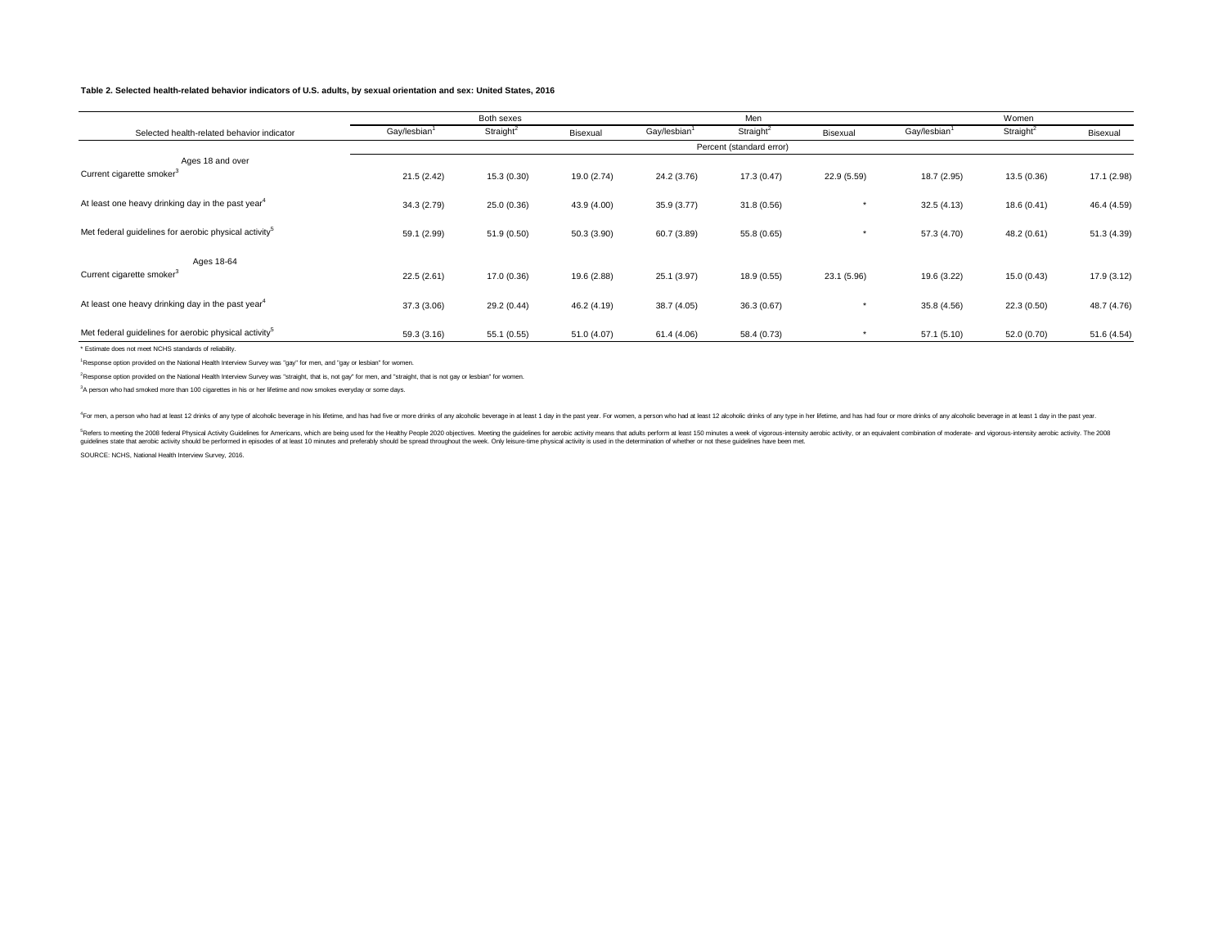#### **Table 2. Selected health-related behavior indicators of U.S. adults, by sexual orientation and sex: United States, 2016**

|                                                                   |                          | Both sexes               |             |             | Men                   |             |             | Women                 |             |
|-------------------------------------------------------------------|--------------------------|--------------------------|-------------|-------------|-----------------------|-------------|-------------|-----------------------|-------------|
| Selected health-related behavior indicator                        | Gay/lesbian <sup>1</sup> | Straight <sup>2</sup>    | Bisexual    | Gay/lesbian | Straight <sup>2</sup> | Bisexual    | Gay/lesbian | Straight <sup>2</sup> | Bisexual    |
|                                                                   |                          | Percent (standard error) |             |             |                       |             |             |                       |             |
| Ages 18 and over                                                  |                          |                          |             |             |                       |             |             |                       |             |
| Current cigarette smoker <sup>3</sup>                             | 21.5(2.42)               | 15.3(0.30)               | 19.0 (2.74) | 24.2 (3.76) | 17.3 (0.47)           | 22.9 (5.59) | 18.7 (2.95) | 13.5(0.36)            | 17.1 (2.98) |
| At least one heavy drinking day in the past year <sup>4</sup>     | 34.3 (2.79)              | 25.0 (0.36)              | 43.9 (4.00) | 35.9(3.77)  | 31.8(0.56)            | *           | 32.5(4.13)  | 18.6(0.41)            | 46.4 (4.59) |
|                                                                   |                          |                          |             |             |                       |             |             |                       |             |
| Met federal quidelines for aerobic physical activity <sup>5</sup> | 59.1 (2.99)              | 51.9 (0.50)              | 50.3(3.90)  | 60.7 (3.89) | 55.8 (0.65)           |             | 57.3 (4.70) | 48.2 (0.61)           | 51.3(4.39)  |
| Ages 18-64                                                        |                          |                          |             |             |                       |             |             |                       |             |
| Current cigarette smoker <sup>3</sup>                             | 22.5(2.61)               | 17.0 (0.36)              | 19.6 (2.88) | 25.1 (3.97) | 18.9 (0.55)           | 23.1 (5.96) | 19.6 (3.22) | 15.0(0.43)            | 17.9 (3.12) |
| At least one heavy drinking day in the past year <sup>4</sup>     | 37.3 (3.06)              | 29.2 (0.44)              | 46.2 (4.19) | 38.7 (4.05) | 36.3(0.67)            | *           | 35.8 (4.56) | 22.3(0.50)            | 48.7 (4.76) |
|                                                                   |                          |                          |             |             |                       |             |             |                       |             |
| Met federal quidelines for aerobic physical activity <sup>5</sup> | 59.3 (3.16)              | 55.1 (0.55)              | 51.0 (4.07) | 61.4 (4.06) | 58.4 (0.73)           |             | 57.1(5.10)  | 52.0 (0.70)           | 51.6 (4.54) |

\* Estimate does not meet NCHS standards of reliability.

<sup>1</sup>Response option provided on the National Health Interview Survey was "gay" for men, and "gay or lesbian" for women.

2 Response option provided on the National Health Interview Survey was "straight, that is, not gay" for men, and "straight, that is not gay or lesbian" for women.

3 A person who had smoked more than 100 cigarettes in his or her lifetime and now smokes everyday or some days.

For men, a person who had at least 12 drinks of any type of alcoholic beverage in his lifetime, and has had five or more drinks of any alcoholic beverage in at least 1 day in the past year. For women, a person who had at l

<sup>5</sup>Refers to meeting the 2008 federal Physical Activity Guidelines for Americans, which are being used for the Healthy People 2020 objectives. Meeting the guidelines for aerobic activity means that adults perform at least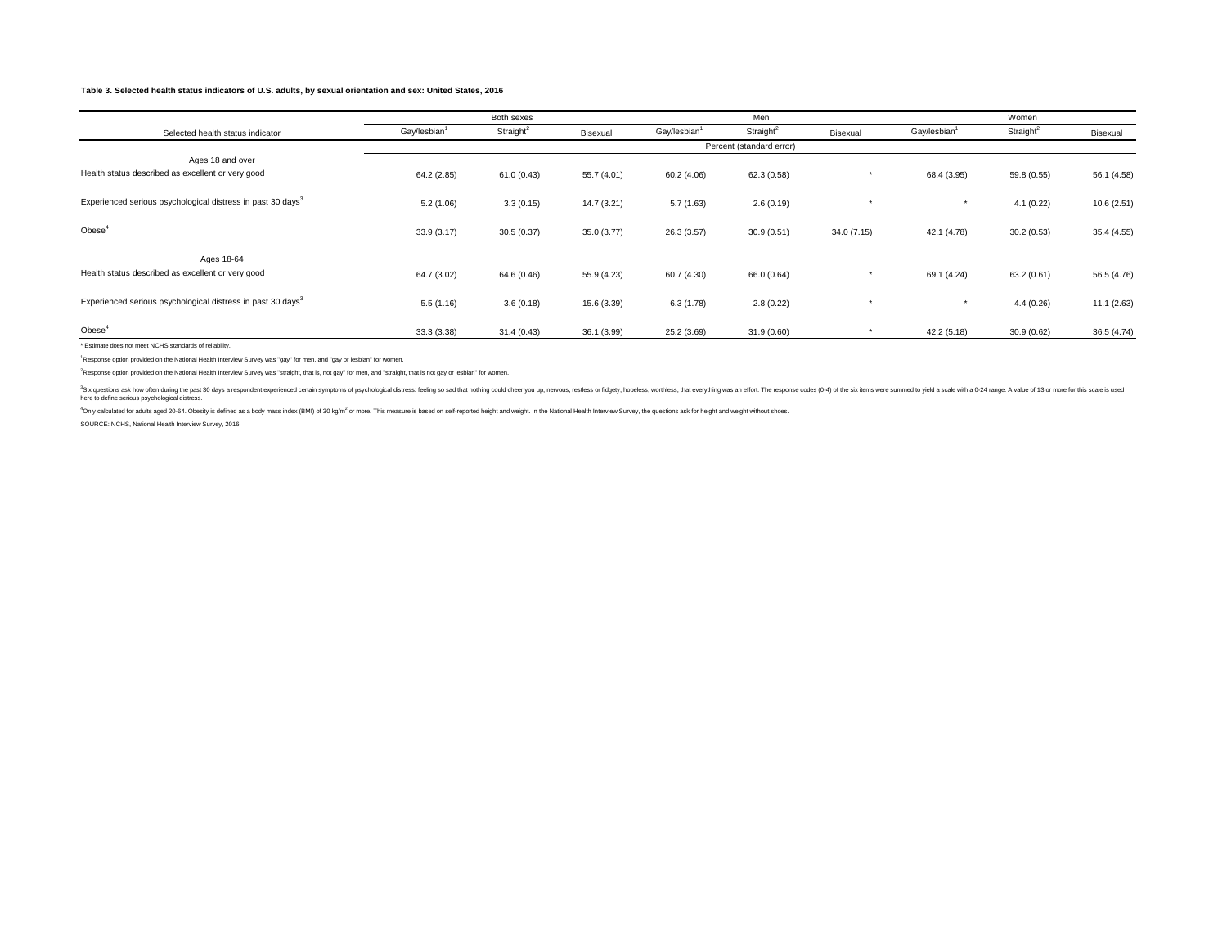### **Table 3. Selected health status indicators of U.S. adults, by sexual orientation and sex: United States, 2016**

|                                                                         |                          | Both sexes            |             |                          | Men                   |            |                          | Women                 |             |
|-------------------------------------------------------------------------|--------------------------|-----------------------|-------------|--------------------------|-----------------------|------------|--------------------------|-----------------------|-------------|
| Selected health status indicator                                        | Gay/lesbian <sup>1</sup> | Straight <sup>2</sup> | Bisexual    | Gay/lesbian <sup>1</sup> | Straight <sup>2</sup> | Bisexual   | Gay/lesbian <sup>1</sup> | Straight <sup>2</sup> | Bisexual    |
|                                                                         | Percent (standard error) |                       |             |                          |                       |            |                          |                       |             |
| Ages 18 and over<br>Health status described as excellent or very good   | 64.2 (2.85)              | 61.0(0.43)            | 55.7 (4.01) | 60.2 (4.06)              | 62.3 (0.58)           |            | 68.4 (3.95)              | 59.8 (0.55)           | 56.1 (4.58) |
| Experienced serious psychological distress in past 30 days <sup>3</sup> | 5.2(1.06)                | 3.3(0.15)             | 14.7 (3.21) | 5.7(1.63)                | 2.6(0.19)             |            |                          | 4.1(0.22)             | 10.6(2.51)  |
| Obese <sup>4</sup>                                                      | 33.9(3.17)               | 30.5(0.37)            | 35.0(3.77)  | 26.3 (3.57)              | 30.9(0.51)            | 34.0(7.15) | 42.1 (4.78)              | 30.2(0.53)            | 35.4 (4.55) |
| Ages 18-64                                                              |                          |                       |             |                          |                       |            |                          |                       |             |
| Health status described as excellent or very good                       | 64.7 (3.02)              | 64.6 (0.46)           | 55.9 (4.23) | 60.7 (4.30)              | 66.0 (0.64)           |            | 69.1 (4.24)              | 63.2 (0.61)           | 56.5 (4.76) |
| Experienced serious psychological distress in past 30 days <sup>3</sup> | 5.5(1.16)                | 3.6(0.18)             | 15.6 (3.39) | 6.3(1.78)                | 2.8(0.22)             |            |                          | 4.4(0.26)             | 11.1(2.63)  |
| Obese <sup>4</sup>                                                      | 33.3(3.38)               | 31.4(0.43)            | 36.1 (3.99) | 25.2 (3.69)              | 31.9(0.60)            |            | 42.2 (5.18)              | 30.9(0.62)            | 36.5 (4.74) |

\* Estimate does not meet NCHS standards of reliability.

1 Response option provided on the National Health Interview Survey was "gay" for men, and "gay or lesbian" for women.

2 Response option provided on the National Health Interview Survey was "straight, that is, not gay" for men, and "straight, that is not gay or lesbian" for women.

<sup>5</sup>Sx question sak how often during the past 30 days a respondent experienced certain symptoms of psychological distress: feeling so sad that nothing could cheer you up, nervous, restless, which experies, that everything w

4Only calculated for adults aged 20-64. Obesity is defined as a body mass index (BMI) of 30 kg/m<sup>2</sup> or more. This measure is based on self-reported height and weight. In the National Health Interview Survey, the questions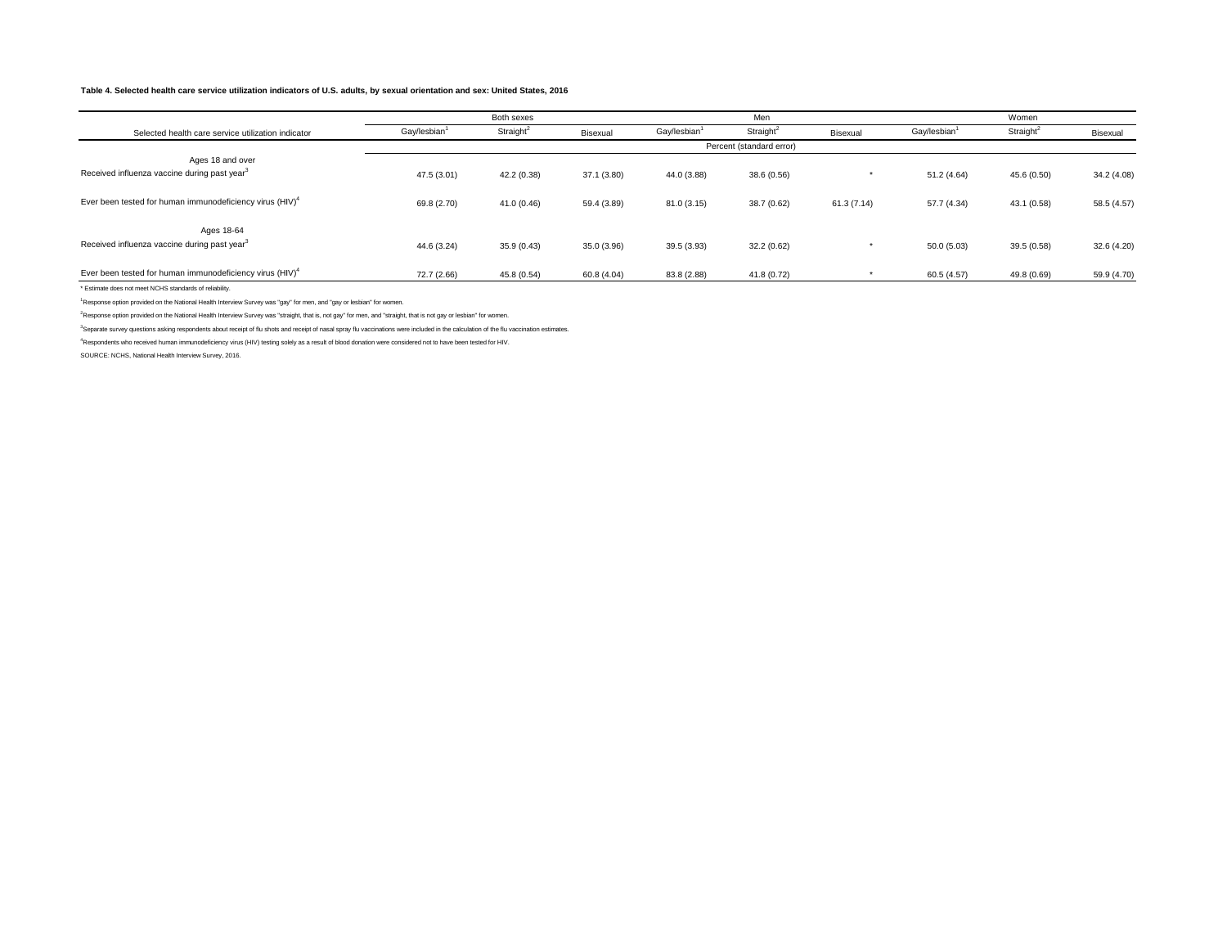## **Table 4. Selected health care service utilization indicators of U.S. adults, by sexual orientation and sex: United States, 2016**

|                                                                              |                          | Both sexes            |             |                          | Men                   |             |                          | Women                 |             |
|------------------------------------------------------------------------------|--------------------------|-----------------------|-------------|--------------------------|-----------------------|-------------|--------------------------|-----------------------|-------------|
| Selected health care service utilization indicator                           | Gay/lesbian <sup>1</sup> | Straight <sup>2</sup> | Bisexual    | Gay/lesbian <sup>1</sup> | Straight <sup>2</sup> | Bisexual    | Gay/lesbian <sup>1</sup> | Straight <sup>2</sup> | Bisexual    |
|                                                                              | Percent (standard error) |                       |             |                          |                       |             |                          |                       |             |
| Ages 18 and over<br>Received influenza vaccine during past year <sup>3</sup> | 47.5 (3.01)              | 42.2 (0.38)           | 37.1 (3.80) | 44.0 (3.88)              | 38.6 (0.56)           |             | 51.2 (4.64)              | 45.6 (0.50)           | 34.2(4.08)  |
| Ever been tested for human immunodeficiency virus (HIV) <sup>4</sup>         | 69.8 (2.70)              | 41.0 (0.46)           | 59.4 (3.89) | 81.0 (3.15)              | 38.7 (0.62)           | 61.3 (7.14) | 57.7 (4.34)              | 43.1 (0.58)           | 58.5 (4.57) |
| Ages 18-64<br>Received influenza vaccine during past year <sup>3</sup>       | 44.6 (3.24)              | 35.9 (0.43)           | 35.0 (3.96) | 39.5 (3.93)              | 32.2 (0.62)           |             | 50.0(5.03)               | 39.5 (0.58)           | 32.6(4.20)  |
| Ever been tested for human immunodeficiency virus (HIV) <sup>4</sup>         | 72.7 (2.66)              | 45.8 (0.54)           | 60.8 (4.04) | 83.8 (2.88)              | 41.8 (0.72)           |             | 60.5 (4.57)              | 49.8 (0.69)           | 59.9 (4.70) |

\* Estimate does not meet NCHS standards of reliability.

1 Response option provided on the National Health Interview Survey was "gay" for men, and "gay or lesbian" for women.

2 Response option provided on the National Health Interview Survey was "straight, that is, not gay" for men, and "straight, that is not gay or lesbian" for women.

<sup>3</sup>Separate survey questions asking respondents about receipt of flu shots and receipt of nasal spray flu vaccinations were included in the calculation of the flu vaccination estimates.

4 Respondents who received human immunodeficiency virus (HIV) testing solely as a result of blood donation were considered not to have been tested for HIV.